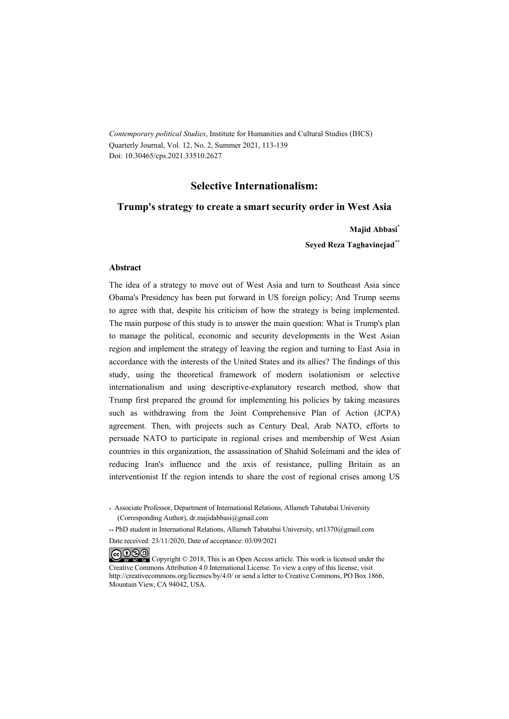*Contemporary political Studies*, Institute for Humanities and Cultural Studies (IHCS) Quarterly Journal, Vol. 12, No. 2, Summer 2021, 113-139 Doi: 10.30465/cps.2021.33510.2627

#### **Selective Internationalism:**

#### **Trump's strategy to create a smart security order in West Asia**

**Majid Abbasi\***

**Seyed Reza Taghavinejad\*\***

#### **Abstract**

The idea of a strategy to move out of West Asia and turn to Southeast Asia since Obama's Presidency has been put forward in US foreign policy; And Trump seems to agree with that, despite his criticism of how the strategy is being implemented. The main purpose of this study is to answer the main question: What is Trump's plan to manage the political, economic and security developments in the West Asian region and implement the strategy of leaving the region and turning to East Asia in accordance with the interests of the United States and its allies? The findings of this study, using the theoretical framework of modern isolationism or selective internationalism and using descriptive-explanatory research method, show that Trump first prepared the ground for implementing his policies by taking measures such as withdrawing from the Joint Comprehensive Plan of Action (JCPA) agreement. Then, with projects such as Century Deal, Arab NATO, efforts to persuade NATO to participate in regional crises and membership of West Asian countries in this organization, the assassination of Shahid Soleimani and the idea of reducing Iran's influence and the axis of resistance, pulling Britain as an interventionist If the region intends to share the cost of regional crises among US

\*\* PhD student in International Relations, Allameh Tabatabai University, srt1370@gmail.com Date received: 23/11/2020, Date of acceptance: 03/09/2021

COOO Copyright © 2018, This is an Open Access article. This work is licensed under the Creative Commons Attribution 4.0 International License. To view a copy of this license, visit http://creativecommons.org/licenses/by/4.0/ or send a letter to Creative Commons, PO Box 1866, Mountain View, CA 94042, USA.

<sup>\*</sup> Associate Professor, Department of International Relations, Allameh Tabatabai University (Corresponding Author), dr.majidabbasi@gmail.com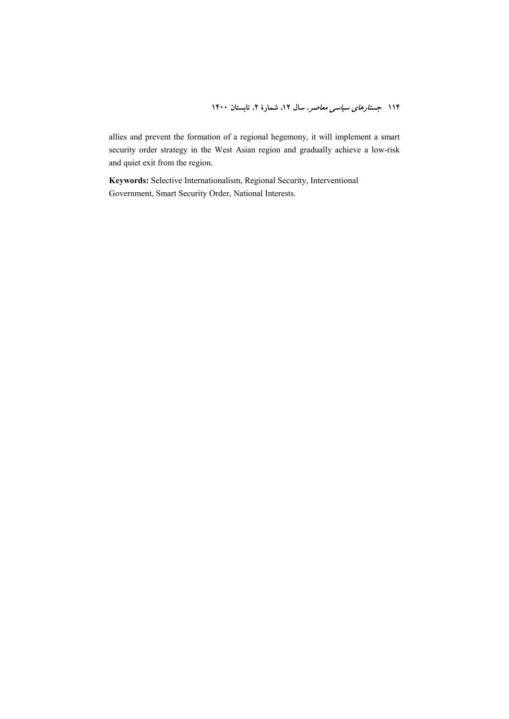allies and prevent the formation of a regional hegemony, it will implement a smart security order strategy in the West Asian region and gradually achieve a low-risk and quiet exit from the region.

**Keywords:** Selective Internationalism, Regional Security, Interventional Government, Smart Security Order, National Interests.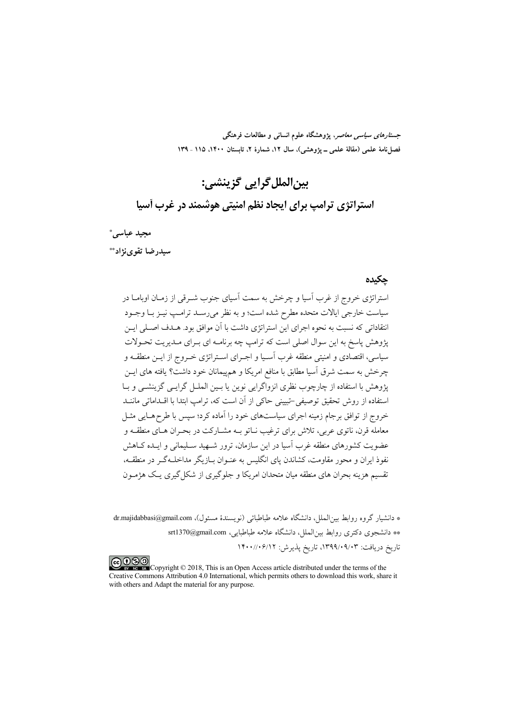*جستارهای سیاسی معاصر*، پژوهشگاه علوم انسانی و مطالعات فرهنگی فصل نامهٔ علمی (مقالهٔ علمی ــ یژوهشی)، سال ۱۲، شمارهٔ ۲، تابستان ۱۴۰۰، ۱۱۵ ـ ۱۳۹

# بين|لملل گرايي گزينشي:

استراتژی ترامپ برای ایجاد نظم امنیتی هوشمند در غرب آسیا

مجيد عباسي\* سېدرضا تقوى:(د\*\*

#### حكىدە

.<br>استراتژی خروج از غرب آسیا و چرخش به سمت آسیای جنوب شــرق<sub>ی</sub> از زمــان اوبامــا در سیاست خارجی ایالات متحده مطرح شده است؛ و به نظر می رسـد ترامـب نیــز بــا وجــود انتقاداتی که نسبت به نحوه اجرای این استراتژی داشت با آن موافق بود. هـدف اصـلی ایـن یژوهش پاسخ به این سوال اصلی است که ترامپ چه برنامـه ای بـرای مـدیریت تحـولات سیاسی، اقتصادی و امنیتی منطقه غرب آسـیا و اجـرای اسـتراتژی خـروج از ایــن منطقــه و چرخش به سمت شرق آسیا مطابق با منافع امریکا و هم پیمانان خود داشت؟ یافته های ایـــن یژوهش با استفاده از چارچوب نظری انزواگرایی نوین یا بـین الملــل گرایــی گزینشــی و بــا استفاده از روش تحقیق توصیفی-تبیینی حاکی از آن است که، ترامب ابتدا با اقــداماتی ماننــد خروج از توافق برجام زمینه اجرای سیاستهای خود را آماده کرد؛ سپس با طرح هـایی مثـل معامله قرن، ناتوی عربی، تلاش برای ترغیب نـاتو بــه مشــارکت در بحــران هــای منطقــه و عضویت کشورهای منطقه غرب آسیا در این سازمان، ترور شبهید سبلیمانی و اینده کیاهش نفوذ ایران و محور مقاومت، کشاندن پای انگلیس به عنـوان بـازیگر مداخلـهگـر در منطقـه، ۔<br>تقسیم هزینه بحران های منطقه میان متحدان امریکا و جلوگیری از شکل گیری بےک هژمیون

\* دانشیار گروه روابط بین الملل، دانشگاه علامه طباطبائی (نویسندهٔ مسئول)، dr.majidabbasi@gmail.com \*\* دانشجوی دکتری روابط بین|لملل، دانشگاه علامه طباطبایی، srt1370@gmail.com تاریخ دریافت: ۰۹/۰۹/۰۹/۰۹/۰۳، تاریخ پذیرش: ۱۴۰۰//۰۶/۱۲

COOD experience Copyright © 2018, This is an Open Access article distributed under the terms of the Creative Commons Attribution 4.0 International, which permits others to download this work, share it with others and Adapt the material for any purpose.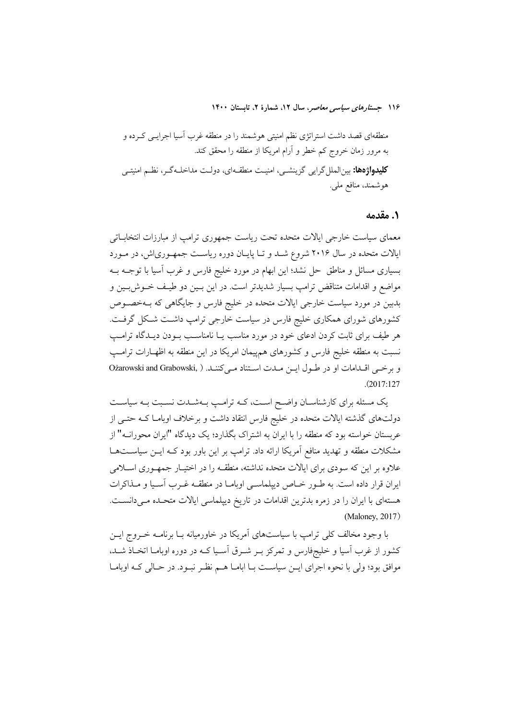#### ۰. مقدمه

معمای سیاست خارجی ایالات متحده تحت ریاست جمهوری ترامپ از مبارزات انتخاباتی ایالات متحده در سال ۲۰۱۶ شروع شـد و تـا پایـان دوره ریاسـت جمهـوریاش، در مـورد بسیاری مسائل و مناطق حل نشد؛ این ابهام در مورد خلیج فارس و غرب آسیا با توجــه بــه مواضع و اقدامات متناقض ترامپ بسیار شدیدتر است. در این بـین دو طیـف خــوش.بـین و بدبین در مورد سیاست خارجی ایالات متحده در خلیج فارس و جایگاهی که بــهخصــوص کشورهای شورای همکاری خلیج فارس در سیاست خارجی ترامپ داشـت شـکل گرفـت. هر طیف برای ثابت کردن ادعای خود در مورد مناسب یـا نامناسـب بــودن دیــدگاه ترامــپ نسبت به منطقه خلیج فارس و کشورهای همهیمان امریکا در این منطقه به اظهـارات ترامـپ وبرخي اقلدامات او در طول ايس ملت استناد مي كنند. ( ,Ożarowski and Grabowski  $(2017:127)$ 

یک مسئله برای کارشناسـان واضـح اسـت، کــه ترامـپ بــهشــدت نسـبت بــه سیاســت دولتهای گذشته ایالات متحده در خلیج فارس انتقاد داشت و برخلاف اوبامـا کــه حتــی از عربستان خواسته بود که منطقه را با ایران به اشتراک بگذارد؛ یک دیدگاه "ایران محورانــه" از مشکلات منطقه و تهدید منافع آمریکا ارائه داد. ترامپ بر این باور بود کـه ایــن سیاســتهــا علاوه بر این که سودی برای ایالات متحده نداشته، منطقـه را در اختیـار جمهـوری اسـلامی ایران قرار داده است. به طـور خـاص دیپلماسـی اوبامـا در منطقـه غـرب آسـیا و مـذاکرات هستهای با ایران را در زمره بدترین اقدامات در تاریخ دیپلماسی ایالات متحـده مـیدانسـت. (Maloney, 2017)

با وجود مخالف کلی ترامپ با سیاستهای آمریکا در خاورمیانه بـا برنامــه خــروج ایــن کشور از غرب آسیا و خلیجفارس و تمرکز بـر شـرق آسـیا کـه در دوره اوبامـا اتخـاذ شـد، موافق بود؛ ولی با نحوه اجرای ایــن سیاســت بــا ابامــا هــم نظــر نبــود. در حــالی کــه اوبامــا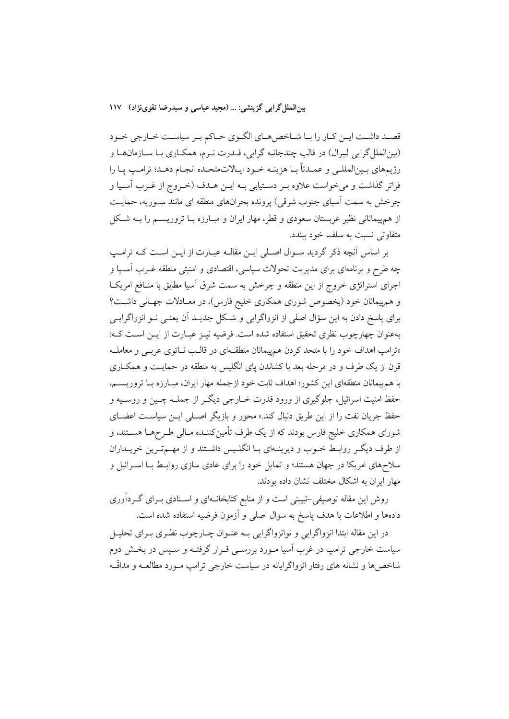بین الملل گرایی گزینشی: … (مجید عباسی و سیدرضا تقوینژاد) ۱۱۷

قصـد داشـت ايـن كـار را بـا شـاخص.هـاي الگـوي حـاكم بـر سياسـت خـارجي خـود (بين|لملل گرايي ليبرال) در قالب چندجانبه گرايي، قــدرت نــرم، همكــاري بــا ســازمانهــا و رژيمهاي بـينالمللـي و عمـدتاً بـا هزينـه خـود ايـالاتمتحـده انجـام دهـد؛ ترامـپ پـا را فراتر گذاشت و میخواست علاوه بـر دسـتيابي بـه ايـن هـدف (خـروج از غـرب آسـيا و چرخش به سمت آسیای جنوب شرقی) پرونده بحرانهای منطقه ای مانند سـوریه، حمایـت از همپیمانانی نظیر عربستان سعودی و قطر، مهار ایران و مبـارزه بـا تروریســم را بــه شــکل متفاوتی نسبت به سلف خود ببندد.

بر اساس آنچه ذکر گردید سـوال اصـلی ایـن مقالـه عبـارت از ایـن اسـت کـه ترامـپ چه طرح و برنامهای برای مدیریت تحولات سیاسی، اقتصادی و امنیتی منطقه غـرب آسـیا و اجرای استراتژی خروج از این منطقه و چرخش به سمت شرق آسیا مطابق با منـافع امریکـا و همهپیمانان خود (بخصوص شورای همکاری خلیج فارس)، در معـادلات جهـانی داشـت؟ برای پاسخ دادن به این سؤال اصلی از انزواگرایی و شکل جدیـد آن یعنـی نــو انزواگرایــی بهعنوان چهارچوب نظری تحقیق استفاده شده است. فرضیه نیـز عبـارت از ایــن اســت کـه: «ترامب اهداف خود را با متحد كردن هم پيمانان منطقـهاي در قالـب نـاتوي عربـي و معاملـه قرن از یک طرف و در مرحله بعد با کشاندن پای انگلیس به منطقه در حمایـت و همکـاری با هم پیمانان منطقهای این کشور؛ اهداف ثابت خود ازجمله مهار ایران، مبـارزه بـا تروریسـم، حفظ امنیت اسرائیل، جلوگیری از ورود قدرت خــارجی دیگــر از جملــه چــین و روســیه و حفظ جريان نفت را از اين طريق دنبال كند.» محور و بازيگر اصـلي ايــن سياسـت اعضــاي شورای همکاری خلیج فارس بودند که از یک طرف تأمینکننـده مـالی طـرحهـا هســتند، و از طرف دیگر روابط خـوب و دیرینـهای بـا انگلـیس داشـتند و از مهـمترین خریـلداران سلاحهای امریکا در جهان هستند؛ و تمایل خود را برای عادی سازی روابط بـا اسـرائیل و مهار ایران به اشکال مختلف نشان داده بودند.

روش این مقاله توصیفی-تبیینی است و از منابع کتابخانـهای و اسـنادی بـرای گــردآوری دادهها و اطلاعات با هدف پاسخ به سوال اصلی و آزمون فرضیه استفاده شده است.

در این مقاله ابتدا انزواگرایی و نوانزواگرایی بـه عنـوان چــارچوب نظـری بـرای تحليـل سیاست خارجی ترامپ در غرب اسیا مـورد بررسـی قـرار گرفتـه و سـیس در بخـش دوم شاخصها و نشانه های رفتار انزواگرایانه در سیاست خارجی ترامب مـورد مطالعــه و مداقّــه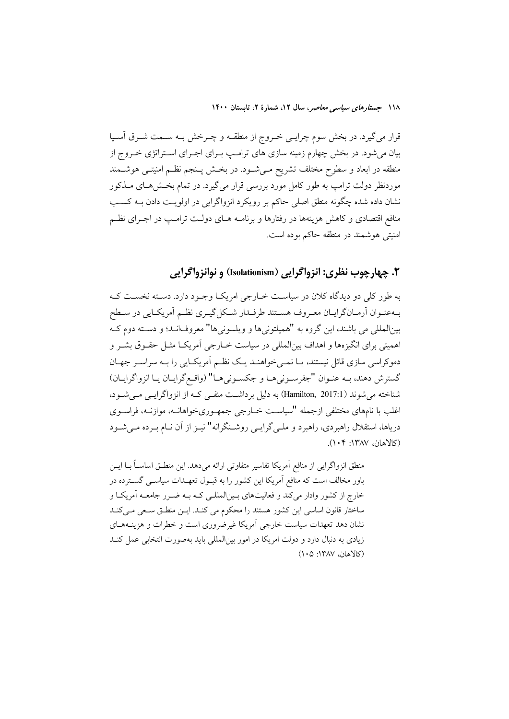قرار میگیرد. در بخش سوم چرایـی خــروج از منطقــه و چــرخش بــه ســمت شــرق أســیا بیان میشود. در بخش چهارم زمینه سازی های ترامپ بـرای اجـرای اسـتراتژی خـروج از منطقه در ابعاد و سطوح مختلف تشریح مـیشـود. در بخـش پــنجم نظــم امنیتــی هوشــمند موردنظر دولت ترامپ به طور کامل مورد بررسی قرار میگیرد. در تمام بخشهای مـذکور نشان داده شده چگونه منطق اصلی حاکم بر رویکرد انزواگرایی در اولویت دادن بـه کسـب منافع اقتصادی و کاهش هزینهها در رفتارها و برنامـه هـای دولـت ترامـب در اجـرای نظـم امنیتی هوشمند در منطقه حاکم بوده است.

۲. چهارچوب نظري: انزواگرايي (Isolationism) و نوانزواگرايي

به طور کلی دو دیدگاه کلان در سیاست خبارجی امریکیا وجبود دارد. دسته نخست ک بهعنـوان أرمـانگرايـان معـروف هسـتند طرفـدار شـكل گيـرى نظـم أمريكـايي در سـطح بینالمللی می باشند. این گروه به "همیلتونیها و ویلسونیها" معروفانـد؛ و دسـته دوم کـه اهمیتی برای انگیزهها و اهداف بین|لمللی در سیاست خــارجی آمریکــا مثــل حقــوق بشــر و دموکراسی سازی قائل نیستند، پـا نمـی خواهنـد یـک نظـم آمریکـایی را بـه سراسـر جهـان گسترش دهند، بـه عنـوان "جفرسـونيهـا و جكسـونيهـا" (واقـع گرايـان يـا انزواگرايـان) شناخته می شوند (Hamilton, 2017:1) به دلیل برداشت منفـی کـه از انزواگرایـی مـی شـود، اغلب با نامهای مختلفی ازجمله "سیاست خــارجی جمهـوریخواهانــه، موازنــه، فراســوی دریاها، استقلال راهبردی، راهبرد و ملـی گرایـی روشـنگرانه" نیـز از آن نــام بـرده مـی شــود (كالاهان، ١٣٨٧: ١٠۴).

منطق انزواگرایی از منافع آمریکا تفاسیر متفاوتی ارائه می دهد. این منطـق اساســاً بــا ایــن باور مخالف است که منافع آمریکا این کشور را به قبـول تعهـدات سیاســی گســترده در خارج از کشور وادار می کند و فعالیتهای بـین|لمللـی کـه بـه ضـر ر جامعـه آمریکـا و ساختار قانون اساسی این کشور هستند را محکوم می کنـد. ایـن منطـق سـعی مـی کنـد نشان دهد تعهدات سیاست خارجی آمریکا غیرضروری است و خطرات و هزینــههــای زیادی به دنبال دارد و دولت امریکا در امور بین(لمللی باید بهصورت انتخابی عمل کنــد (كالاهان، ١٣٨٧: ١٠٥)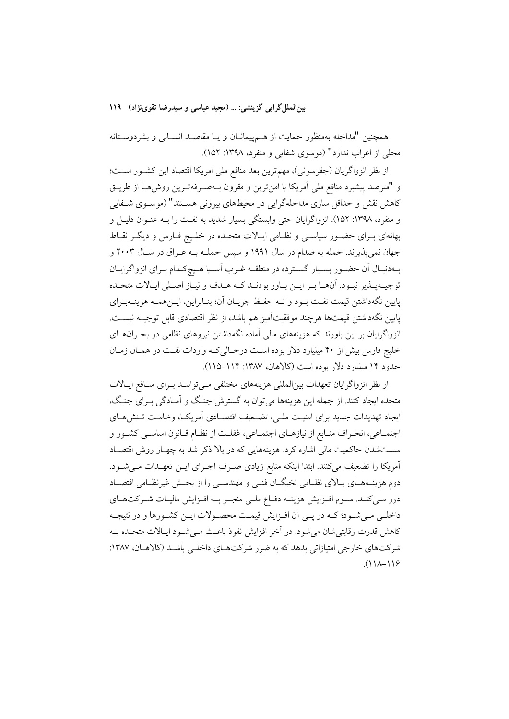بین الملل گرایی گزینشی: ... (مجید عباسی و سیدرضا تقوینژاد) ۱۱۹

همچنین "مداخله بهمنظور حمایت از هــم.پیمانــان و یــا مقاصــد انســانی و بشردوســتانه محلي از اعراب ندارد" (موسوى شفايي و منفرد، ١٣٩٨: ١۵٢).

از نظر انزواگریان (جفرسونی)، مهم ترین بعد منافع ملی امریکا اقتصاد این کشـور اسـت؛ و "مترصد پیشبرد منافع ملی آمریکا با امنترین و مقرون بـهصـرفهتـرین روش۵ـا از طریــق کاهش نقش و حداقل سازی مداخلهگرایی در محیطهای بیرونی هســتند" (موســوی شــفایی و منفرد، ۱۳۹۸: ۱۵۲). انزواگرایان حتی وابستگی بسیار شدید به نفت را بــه عنــوان دلیــل و بهانهای بـرای حضـور سیاسـی و نظـامی ایـالات متحـده در خلـیج فـارس و دیگـر نقـاط جهان نمي پذيرند. حمله به صدام در سال ۱۹۹۱ و سپس حملـه بــه عــراق در ســال ۲۰۰۳ و بهدنبال آن حضـور بسـيار گسـترده در منطقـه غـرب اسـيا هـيچكـدام بـراي انزواگرايـان توجسه پیذیر نسود. آنهبا سر اسن ساور بودنید کیه هیدف و نساز اصیلی اسالات متحیده پایین نگهداشتن قیمت نفـت بـود و نــه حفـظ جریـان آن؛ بنـابراین، ایـنهمــه هزینــهبـرای يايين نگهداشتن قيمتها هرچند موفقيتآميز هم باشد، از نظر اقتصادي قابل توجيــه نيســت. انزواگرایان بر این باورند که هزینههای مالی آماده نگهداشتن نیروهای نظامی در بحـرانهـای خلیج فارس بیش از ۴۰ میلیارد دلار بوده است درحـالی کـه واردات نفـت در همـان زمـان حدود ۱۴ میلیارد دلار بوده است (کالاهان، ۱۳۸۷: ۱۱۴–۱۱۵).

از نظر انزواگرایان تعهدات بین|لمللی هزینههای مختلفی مـیتواننـد بـرای منـافع ایـالات متحده ایجاد کنند. از جمله این هزینهها می توان به گسترش جنگ و اَمـادگی بـرای جنگ، ايجاد تهديدات جديد براي امنيت ملبي، تضـعيف اقتصـادي أمريكـا، وخامـت تـنش(هـاي اجتمـاعي، انحـراف منـابع از نيازهـاي اجتمـاعي، غفلـت از نظـام قـانون اساسـي كشـور و سستشدن حاکمیت مالی اشاره کرد. هزینههایی که در بالا ذکر شد به چهـار روش اقتصـاد آمریکا را تضعیف میکنند. ابتدا اینکه منابع زیادی صـرف اجـرای ایــن تعهـدات مــیشــود. دوم هزینــههــای بــالای نظــامی نخبگــان فنــی و مهندســی را از بخــش غیرنظــامی اقتصــاد دور مبی کنـد. سـوم افـزایش هزینـه دفـاع ملـی منجـر بـه افـزایش مالیـات شـر کتهـای داخلـي مـيشـود؛ كــه در پــي أن افــزايش قيمــت محصــولات ايــن كشــورها و در نتيجــه كاهش قدرت رقابتي شان مي شود. در آخر افزايش نفوذ باعـث مـي شـود ايـالات متحـده بـه شرکتهای خارجی امتیازاتی بدهد که به ضرر شرکتهای داخلبی باشـد (کالاهـان، ۱۳۸۷:  $(11A-119)$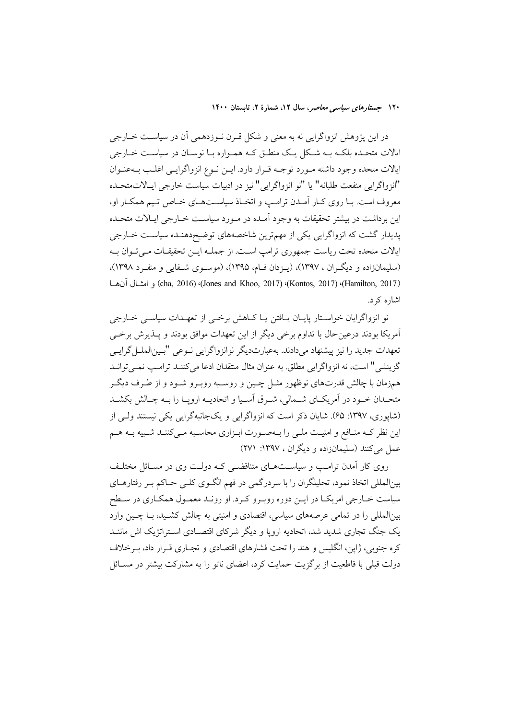در این پژوهش انزواگرایی نه به معنی و شکل قـرن نـوزدهمی آن در سیاسـت خــارجی ایالات متحـده بلکـه بـه شـکل یـک منطـق کـه همـواره بـا نوسـان در سیاسـت خــارجى ايالات متحده وجود داشته مورد توجـه قـرار دارد. ايـن نـوع انزواگرايـي اغلـب بـهعنـوان "انزواگرايي منفعت طلبانه" يا "نو انزواگرايي" نيز در ادبيات سياست خارجي ايـالاتمتحـده معروف است. بـا روی کـار اَمـدن ترامـپ و اتخـاذ سیاســتهـای خـاص تـیم همکـار او، این برداشت در بیشتر تحقیقات به وجود آمـده در مـورد سیاسـت خــارجی ایــالات متحـده پدیدار گشت که انزواگرایی یکی از مهمترین شاخصههای توضیحدهنـده سیاسـت خــارجی ایالات متحده تحت ریاست جمهوری ترامپ اسـت. از جملــه ایــن تحقیقــات مــی تــوان بــه (سلیمانزاده و دیگران ، ۱۳۹۷)، (پـزدان فـام، ۱۳۹۵)، (موسـوی شـفایی و منفـرد ۱۳۹۸)، (cha, 2016) (Jones and Khoo, 2017) (Kontos, 2017) (Hamilton, 2017)) و امشال آن ها اشاره کړ د.

نو انزواگرایان خواسـتار پایـان پــافتن پــا کــاهش برخــی از تعهــدات سیاســی خــارجی آمریکا بودند درعینحال با تداوم برخی دیگر از این تعهدات موافق بودند و پــذیرش برخــی تعهدات جديد را نيز پيشنهاد مىدادند. بهعبارتديگر نوانزواگرايى نـوعى "بـينالملـل گرايـي گزينشي" است، نه انزواگرايي مطلق. به عنوان مثال منتقدان ادعا مي كننـد ترامـب نمـي توانـد همزمان با چالش قدرتهای نوظهور مثـل چـین و روسـیه روبـرو شـود و از طـرف دیگـر متحــدان خــود در آمريكــاي شـــمالي، شــرق آســيا و اتحاديــه ارويــا را بــه چــالش بكشــد (شاپوری، ۱۳۹۷: ۶۵). شایان ذکر است که انزواگرایی و یکجانبهگرایی یکی نیستند ولبی از این نظر کـه منـافع و امنیـت ملـی را بـهصـورت ابـزاری محاسـبه مـیکننـد شـبیه بـه هـم عمل می کنند (سلیمانزاده و دیگران ، ۱۳۹۷: ۲۷۱)

روی کار آمدن ترامب و سیاستهای متناقضی کـه دولـت وی در مسـائل مختلـف بینالمللی اتخاذ نمود، تحلیلگران را با سردرگمی در فهم الگـوی کلـی حـاکم بـر رفتارهـای سیاست خــارجی امریکــا در ایــن دوره روبــرو کــرد. او رونــد معمــول همکــاری در ســطح بینالمللی را در تمامی عرصههای سیاسی، اقتصادی و امنیتی به چالش کشـید، بـا چـین وارد یک جنگ تجاری شدید شد، اتحادیه اروپا و دیگر شرکای اقتصـادی اســتراتژیک اش ماننــد کره جنوبی، ژاپن، انگلیس و هند را تحت فشارهای اقتصادی و تجـاری قـرار داد، بـرخلاف دولت قبلی با قاطعیت از برگزیت حمایت کرد، اعضای ناتو را به مشارکت بیشتر در مســائل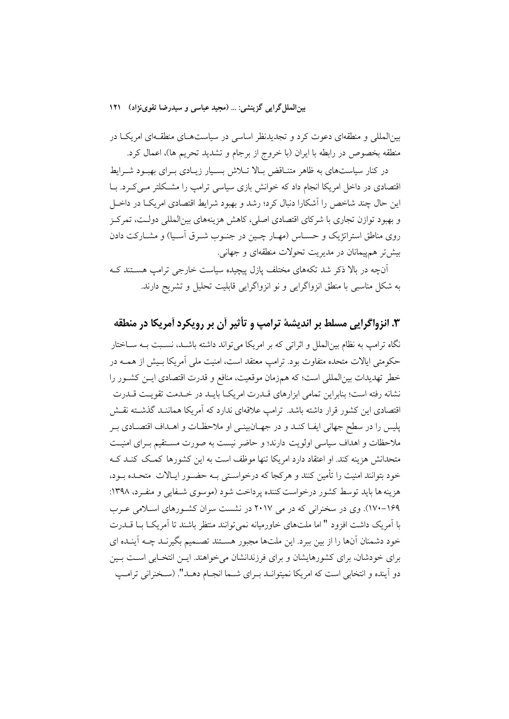بینالملل گرایی گزینشی: … (مجید عباسی و سیدرضا تقوینژاد) ۱۲۱

بینالمللی و منطقهای دعوت کرد و تجدیدنظر اساسی در سیاستهـای منطقـهای امریکـا در منطقه بخصوص در رابطه با ایران (با خروج از برجام و تشدید تحریم ها)، اعمال کرد.

در کنار سیاستهای به ظاهر متنـاقض بـالا تــلاش بســیار زیــادی بــرای بهبــود شــرایط اقتصادی در داخل امریکا انجام داد که خوانش بازی سیاسی ترامپ را مشکلتر مـی کـرد. بــا این حال چند شاخص را آشکارا دنبال کرد؛ رشد و بهبود شرایط اقتصادی امریکـا در داخـل و بهبود توازن تجاری با شرکای اقتصادی اصلی، کاهش هزینههای بینالمللی دولت، تمرکز روی مناطق استراتژیک و حسـاس (مهـار چـین در جنـوب شـرق آسـیا) و مشـارکت دادن بیش تر هم پیمانان در مدیریت تحولات منطقهای و جهانی.

آنچه در بالا ذکر شد تکههای مختلف یازل پیچیده سیاست خارجی ترامپ هسـتند کـه به شکل مناسبی با منطق انزواگرایی و نو انزواگرایی قابلیت تحلیل و تشریح دارند.

## ۳. انزواگرایی مسلط بر اندیشهٔ ترامپ و تأثیر آن بر رویکرد آمریکا در منطقه

نگاه ترامپ به نظام بینالملل و اثراتی که بر امریکا می<mark>تواند داشته باشــد، نسـبت بــه ســاختار</mark> حکومتی ایالات متحده متفاوت بود. ترامب معتقد است، امنیت ملی آمریکا بیش از همیه در خطر تهديدات بين|لمللي است؛ كه همزمان موقعيت، منافع و قدرت اقتصادي ايـن كشـور را نشانه رفته است؛ بنابراین تمامی ابزارهای قــدرت امریکــا بایــد در خــدمت تقویــت قــدرت اقتصادی این کشور قرار داشته باشد. ترامپ علاقهای ندارد که آمریکا هماننـد گذشـته نقـش يليس را در سطح جهاني ايفــا كنــد و در جهــان.بينــي او ملاحظــات و اهــداف اقتصــادي بــر ملاحظات و اهداف سیاسی اولویت دارند؛ و حاضر نیست به صورت مستقیم بـرای امنیـت متحدانش هزینه کند. او اعتقاد دارد امریکا تنها موظف است به این کشورها کمک کنـد کـه خود بتوانند امنیت را تأمین کنند و هرکجا که درخواستی بـه حضـور ایـالات متحـده بـود، هزینه ها باید توسط کشور درخواست کننده پرداخت شود (موسوی شـفایی و منفـرد، ۱۳۹۸: ۱۶۹–۱۷۰). وی در سخنرانی که در می ۲۰۱۷ در نشست سران کشورهای اسلامی عرب با آمریک داشت افزود " اما ملتهای خاورمیانه نمیتوانند منتظر باشند تا آمریک با قلدرت خود دشمنان آنها را از بین ببرد. این ملتها مجبور هسـتند تصـمیم بگیرنـد چــه آینـده ای برای خودشان، برای کشورهایشان و برای فرزندانشان میخواهند. ایــن انتخـابی اســت بــین دو اَینده و انتخابی است که امریکا نمیتوانـد بـرای شـما انجـام دهـد". (سـخنرانی ترامـپ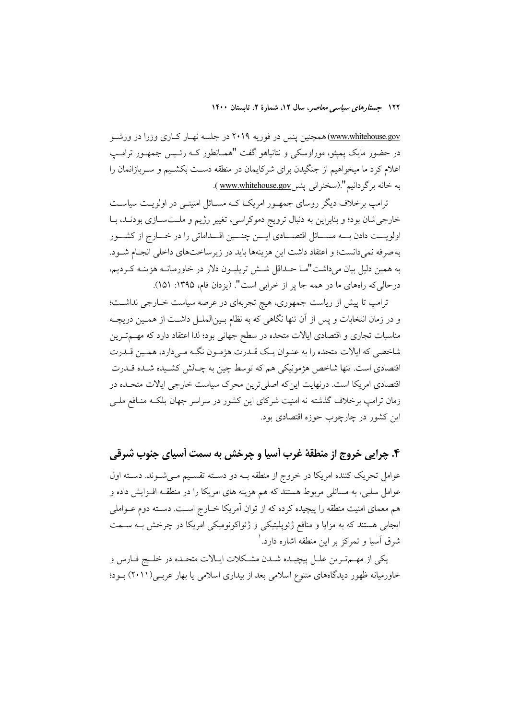<u>www.whitehouse.gov)</u>همچنین پنس در فوریه ۲۰۱۹ در جلسه نهـار کـاری وزرا در ورشــو در حضور مایک یمیئو، موراوسکی و نتانیاهو گفت "همــانطور کــه رئــیس جمهــور ترامــپ اعلام کرد ما میخواهیم از جنگیدن برای شرکایمان در منطقه دسـت بکشـیم و سـربازانمان را به خانه بر گردانیم".(سخنرانی پنس www.whitehouse.gov ).

ترامپ برخلاف دیگر روسای جمهـور امریکـا کـه مسـائل امنیتـی در اولویـت سیاسـت خارجی شان بود؛ و بنابراین به دنبال ترویج دموکراسی، تغییر رژیم و ملتسازی بودنـد، بـا اولویست دادن بسه مســائل اقتصــادی ایسن چنسین اقــداماتی را در خــارج از کشــور به صرفه نمیدانست؛ و اعتقاد داشت این هزینهها باید در زیرساختهای داخلی انجـام شــود. به همین دلیل بیان میداشت"مــا حــداقل شــش تریلیــون دلار در خاورمیانــه هزینــه کــردیم، درحالي كه رامهاي ما در همه جا پر از خرابي است". (يزدان فام، ١٣٩۵: ١٥١).

ترامب تا پیش از ریاست جمهوری، هیچ تجربهای در عرصه سیاست خـارجی نداشـت؛ و در زمان انتخابات و پس از آن تنها نگاهی که به نظام بـینالملـل داشـت از همـین دریچـه مناسبات تجاری و اقتصادی ایالات متحده در سطح جهانی بود؛ لذا اعتقاد دارد که مهــمتــرین شاخصی که ایالات متحده را به عنـوان یـک قــدرت هژمـون نگــه مـیدارد، همـین قــدرت اقتصادي است. تنها شاخص هژمونيكي هم كه توسط چين به چـالش كشـيده شـده قــدرت اقتصادی امریکا است. درنهایت این که اصلی ترین محرک سیاست خارجی ایالات متحـده در زمان ترامپ برخلاف گذشته نه امنیت شرکای این کشور در سراسر جهان بلکـه منـافع ملــی این کشور در چارچوب حوزه اقتصادی بود.

۴. چراپی خروج از منطقهٔ غرب آسیا و چرخش به سمت آسیای جنوب شرقی عوامل تحریک کننده امریکا در خروج از منطقه بــه دو دســته تقســیم مــیشــوند. دســته اول عوامل سلبی، به مسائلی مربوط هستند که هم هزینه های امریکا را در منطقـه افـزایش داده و هم معمای امنیت منطقه را پیچیده کرده که از توان آمریکا خــارج اســت. دسـته دوم عــواملی ایجابی هستند که به مزایا و منافع ژئوپلیتیکی و ژئواکونومیکی امریکا در چرخش بـه سـمت شرق آسیا و تمرکز بر این منطقه اشاره دارد. ٰ

يكي از مهم ترين علـل پيچيـده شـدن مشـكلات ايـالات متحـده در خلـيج فـارس و خاورمیانه ظهور دیدگاههای متنوع اسلامی بعد از بیداری اسلامی یا بهار عربـی(۲۰۱۱) بـود؛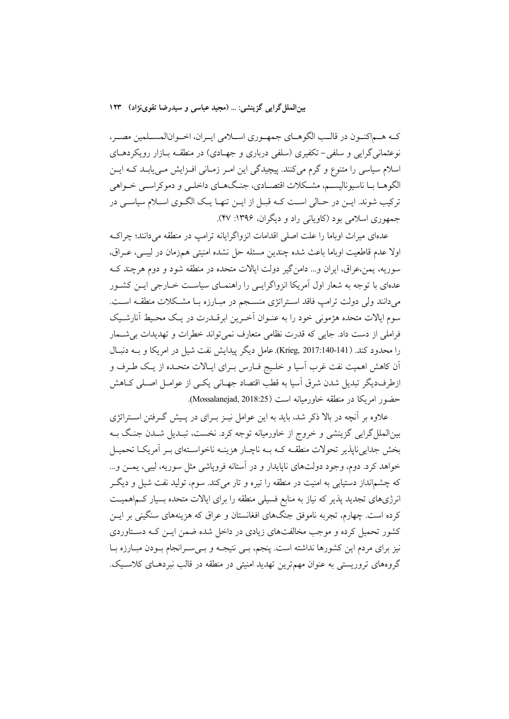بین الملل گرایی گزینشی: … (مجید عباسی و سیدرضا تقوینژاد) ۱۲۳

كـه هـماكنـون در قالـب الگوهـاي جمهـوري اسـلامي ايـران، اخـوانالمسـلمين مصـر، نوعثمانی گرایی و سلفی-تکفیری (سلفی درباری و جهـادی) در منطقــه بــازار رویکردهــای اسلام سیاسی را متنوع و گرم میکنند. پیچیدگی این امـر زمـانی افـزایش مـییابـد کـه ایـن الگوهـا بـا ناسيوناليسـم، مشـكلات اقتصـادي، جنـگـهـاي داخلـي و دموكراسـي خــواهي ترکیب شوند. ایــن در حــالی اســت کــه قبــل از ایــن تنهــا یــک الگــوی اســلام سیاســی در جمهوري اسلامي بود (كاوياني راد و ديگران، ۱۳۹۶: ۴۷).

عدهای میراث اوباما را علت اصلی اقدامات انزواگرایانه ترامپ در منطقه میدانند؛ چراک اولا عدم قاطعیت اوباما باعث شده چندین مسئله حل نشده امنیتی همزمان در لیبے، عـراق، سوریه، یمن،عراق، ایران و… دامن گیر دولت ایالات متحده در منطقه شود و دوم هرچند ک عدمای با توجه به شعار اول آمریکا انزواگرایس را راهنمـای سیاسـت خــارجی ایــن کشــور میدانند ولی دولت ترامپ فاقد استراتژی منسجم در مبارزه بـا مشکلات منطقـه اسـت. سوم ايالات متحده هژموني خود را به عنـوان اَخـرين ابرقــدرت در يــک محـيط اَنارشــيک فراملی از دست داد. جایی که قدرت نظامی متعارف نمیتواند خطرات و تهدیدات بی شمار را محدود كند. (Krieg, 2017:140-141). عامل ديگر پيدايش نفت شيل در امريكا و بــه دنبـال آن کاهش اهمیت نفت غرب آسیا و خلیج فـارس بـرای ایـالات متحـده از یـک طـرف و ازطرفدیگر تبدیل شدن شرق آسیا به قطب اقتصاد جهـانی یکـی از عوامـل اصـلی کـاهش حضور امريكا در منطقه خاورميانه است (Mossalanejad, 2018:25).

علاوه بر آنچه در بالا ذکر شد، باید به این عوامل نیـز بـرای در پـیش گـرفتن اسـتراتژی بینالملل گرایی گزینشی و خروج از خاورمیانه توجه کرد. نخست، تبـدیل شـدن جنگ بــه بخش جدایی ناپذیر تحولات منطقـه کـه بـه ناچـار هزینـه ناخواسـتهای بـر آمریکـا تحمیـل خواهد کرد. دوم، وجود دولتهای ناپایدار و در آستانه فرویاشی مثل سوریه، لیبی، یمــز و… که چشم|نداز دستیابی به امنیت در منطقه را تیره و تار میکند. سوم، تولید نفت شیل و دیگـر انرژیهای تجدید پذیر که نیاز به منابع فسیلی منطقه را برای ایالات متحده بسیار کـم\همیــت کرده است. چهارم، تجربه ناموفق جنگهای افغانستان و عراق که هزینههای سنگینی بر ایــن کشور تحمیل کرده و موجب مخالفتهای زیادی در داخل شده ضمن ایــن کــه دسـتاوردی نیز برای مردم این کشورها نداشته است. پنجم، بـی نتیجـه و بـی سـرانجام بـودن مبـارزه بـا گروههای تروریستی به عنوان مهمترین تهدید امنیتی در منطقه در قالب نبردهــای کلاســیک.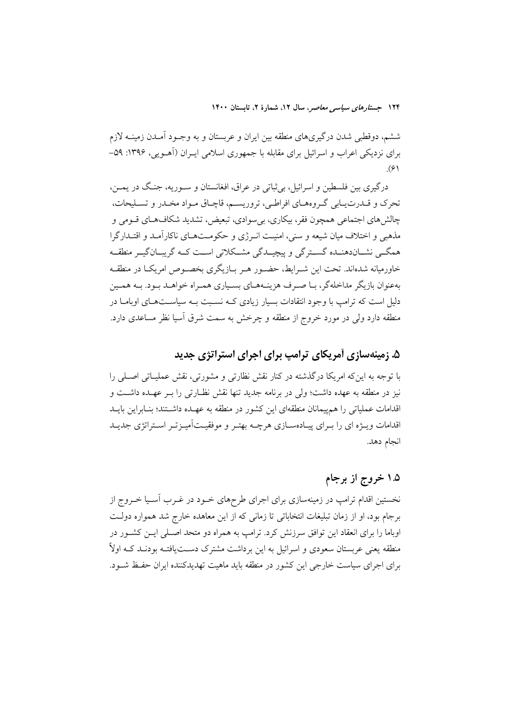ششم، دوقطبی شدن درگیریهای منطقه بین ایران و عربستان و به وجـود آمـدن زمینــه لازم برای نزدیکی اعراب و اسرائیل برای مقابله با جمهوری اسلامی ایـران (اَهـویی، ۱۳۹۶: ۵۹- $(9)$ 

درگيري بين فلسطين و اسرائيل، بي ثباتي در عراق، افغانستان و سـوريه، جنـگ در يمــن، تحرک و قـدرتيـابي گـروههـاي افراطـي، تروريسـم، قاچـاق مـواد مخـدر و تسـليحات، چالش هاي اجتماعي همچون فقر، بيکاري، بي سوادي، تبعيض، تشديد شکافهـاي قــومي و مذهبی و اختلاف میان شیعه و سنی، امنیـت انـرژی و حکومـتهـای ناکارآمـد و اقتـدارگرا همگے نشــاندهنــده گســترگی و پیچیــدگی مشــکلاتی اســت کــه گریبــانگیــر منطقــه خاورمیانه شدهاند. تحت این شـرایط، حضـور هـر بــازیگری بخصــوص امریکــا در منطقــه پهغوان بازیگر مداخلهگر، یا صبرف هزینـههـای بسـباری همـراه خواهـد پـود. پـه همـین دلیل است که ترامپ با وجود انتقادات بسیار زیادی کـه نسـبت بـه سیاسـتهـای اوبامـا در منطقه دارد ولی در مورد خروج از منطقه و چرخش به سمت شرق آسیا نظر مساعدی دارد.

## ۵. زمینهسازی آمریکای ترامپ برای اجرای استراتژی جدید

با توجه به این که امریکا درگذشته در کنار نقش نظارتی و مشورتی، نقش عملیــاتی اصــلی را نیز در منطقه به عهده داشت؛ ولی در برنامه جدید تنها نقش نظـارتی را بــر عهـده داشــت و اقدامات عملیاتی را هم پیمانان منطقهای این کشور در منطقه به عهـده داشــتند؛ بنــابراین بایــد اقدامات ویـژه ای را پـرای پیـادهسـازی هرچـه بهتـر و موفقیـتآمیـزتـر اسـتراتژی جدیـد انجام دهد.

## ۱.۵ خروج از برجام

نخستین اقدام ترامپ در زمینهسازی برای اجرای طرحهای خــود در غــرب آســیا خــروج از برجام بود، او از زمان تبلیغات انتخاباتی تا زمانی که از این معاهده خارج شد همواره دولت اوباما را برای انعقاد این توافق سرزنش کرد. ترامپ به همراه دو متحد اصـلی ایـن کشـور در منطقه یعنی عربستان سعودی و اسرائیل به این برداشت مشترک دســتیافتــه بودنــد کــه اولاً برای اجرای سیاست خارجی این کشور در منطقه باید ماهیت تهدیدکننده ایران حفظ شـود.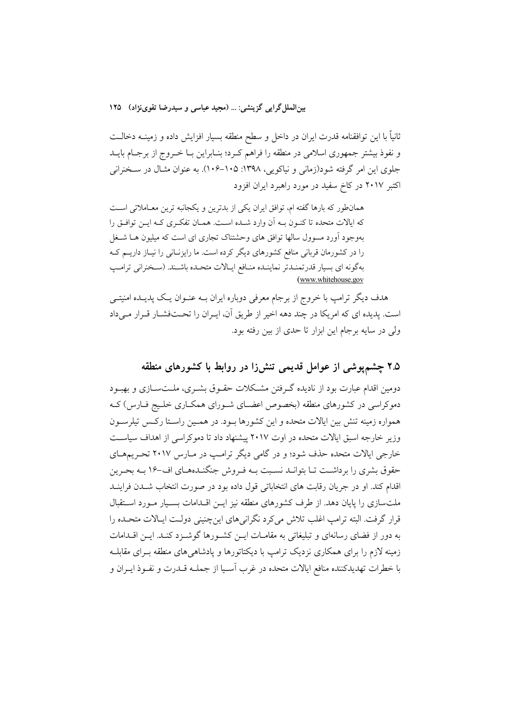ثانیاً با این توافقنامه قدرت ایران در داخل و سطح منطقه بسیار افزایش داده و زمینــه دخالــت و نفوذ بیشتر جمهوری اسلامی در منطقه را فراهم کرد؛ بنـابراین بـا خـروج از برجـام بایــد جلوی این امر گرفته شود(زمانی و نیاکویی، ۱۳۹۸: ۱۰۵–۱۰۶). به عنوان مثـال در سـخنرانی اکتبر ۲۰۱۷ در کاخ سفید در مورد راهبرد ایران افزود

همانطور که بارها گفته ام، توافق ایران یکی از بدترین و یکجانبه ترین معـاملاتی اسـت كه ايالات متحده تا كنـون بـه أن وارد شـده اسـت. همـان تفكـري كـه ايـن توافـق را بهوجود اّورد مسوول سالها توافق های وحشتناک تجاری ای است که میلیون هــا شــغل را در کشورمان قربانی منافع کشورهای دیگر کرده است. ما رایزنــانی را نیــاز داریــم کــه بهگونه اي بسيار قدرتمنـدتر نماينـده منـافع ايـالات متحـده باشـند. (سـخنراني ترامـب (www.whitehouse.gov

هدف دیگر ترامپ با خروج از برجام معرفی دوباره ایران بــه عنــوان یــک پدیــده امنیتــی است. پدیده ای که امریکا در چند دهه اخیر از طریق آن، ایـران را تحـتفشـار قـرار مـیداد ولی در سایه برجام این ابزار تا حدی از بین رفته بود.

### ۲.۵ چشمپوشی از عوامل قدیمی تنشزا در روابط با کشورهای منطقه

دومین اقدام عبارت بود از نادیده گـرفتن مشـكلات حقـوق بشـرى، ملــتســازى و بهبــود دموکراسی در کشورهای منطقه (بخصوص اعضـای شـورای همکـاری خلـیج فـارس) کـه همواره زمینه تنش بین ایالات متحده و این کشورها بـود. در همـین راسـتا رکـس تیلرسـون وزیر خارجه اسبق ایالات متحده در اوت ۲۰۱۷ پیشنهاد داد تا دموکراسی از اهداف سیاست خارجی ایالات متحده حذف شود؛ و در گامی دیگر ترامب در مبارس ۲۰۱۷ تحریبههای حقوق بشری را برداشت تـا بتوانـد نسـبت بـه فـروش جنگنـدههـای اف-۱۶ بـه بحـرين اقدام كند. او در جريان رقابت هاى انتخاباتى قول داده بود در صورت انتخاب شـدن فراينــد ملتسازی را پایان دهد. از طرف کشورهای منطقه نیز ایـن اقـدامات بسـیار مـورد اسـتقبال قرار گرفت. البته ترامب اغلب تلاش می کرد نگرانی های این چنینی دولت ایـالات متحـده را به دور از فضای رسانهای و تبلیغاتی به مقامـات ایــن کشــورها گوشــزد کنــد. ایــن اقــدامات زمینه لازم را برای همکاری نزدیک ترامپ با دیکتاتورها و یادشاهی های منطقه بـرای مقابلــه با خطرات تهديدكننده منافع ايالات متحده در غرب آسـيا از جملــه قــدرت و نفــوذ ايــران و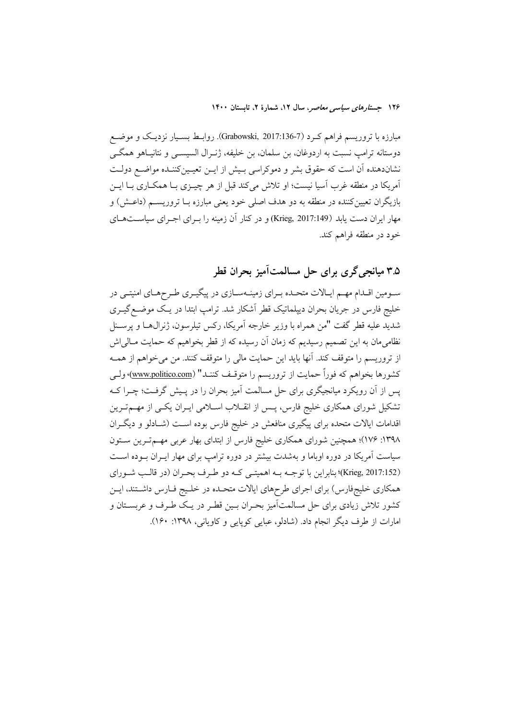مبارزه با تروریسم فراهم کـرد (Grabowski, 2017:136-7). روابـط بسـیار نزدیـک و موضـع دوستانه ترامپ نسبت به اردوغان، بن سلمان، بن خليفه، ژنــرال السيســي و نتانيــاهو همگــي نشاندهنده آن است که حقوق بشر و دموکراسی بـیش از ایــن تعیــینکننـده مواضــع دولــت آمریکا در منطقه غرب آسیا نیست؛ او تلاش می کند قبل از هر چیــزی بــا همکــاری بــا ایــن بازیگران تعیینکننده در منطقه به دو هدف اصلی خود یعنی مبارزه بـا تروریســم (داعـش) و مهار ایران دست یابد (Krieg, 2017:149) و در کنار آن زمینه را بـرای اجـرای سیاسـتهـای خود در منطقه فراهم كند.

۳.۵ میانجیگری برای حل مسالمتآمیز بحران قطر

سـومین اقـدام مهـم ایـالات متحـده بـراي زمينـهسـازي در پيگيـري طـرحهـاي امنيتـي در خلیج فارس در جریان بحران دیپلماتیک قطر آشکار شد. ترامپ ابتدا در یک موضع گیـری شديد عليه قطر گفت "من همراه با وزير خارجه آمريكا، ركس تيلرسون، ژنرال@ا و يرســنل نظامیِ مان به این تصمیم رسیدیم که زمان آن رسیده که از قطر بخواهیم که حمایت مـالیِ اش از تروریسم را متوقف کند. آنها باید این حمایت مالی را متوقف کنند. من می خواهم از همـه كشورها بخواهم كه فوراً حمايت از تروريسم را متوقـف كننـد" (www.politico.com) ولـي پس از آن رویکرد میانجیگری برای حل مسالمت آمیز بحران را در پـیش گرفـت؛ چـرا کــه تشکیل شورای همکاری خلیج فارس، پـس از انقــلاب اســلامی ایــران یکــی از مهــمتــرین اقدامات ایالات متحده برای پیگیری منافعش در خلیج فارس بوده است (شـادلو و دیگـران ۱۳۹۸: ۱۷۶)؛ همچنین شورای همکاری خلیج فارس از ابتدای بهار عربی مهـمترین سـتون سیاست آمریکا در دوره اوباما و بهشدت بیشتر در دوره ترامپ برای مهار ایــران بــوده اســت (Krieg, 2017:152)؛ بنابراین با توجـه بـه اهمیتـی کـه دو طـرف بحـران (در قالـب شـورای همکاری خلیجفارس) برای اجرای طرحهای ایالات متحـده در خلـیج فـارس داشـتند، ایـن کشور تلاش زیادی برای حل مسالمتآمیز بحـران بـین قطـر در یـک طـرف و عربســتان و امارات از طرف دیگر انجام داد. (شادلو، عبایی کوپایی و کاویانی، ۱۳۹۸: ۱۶۰).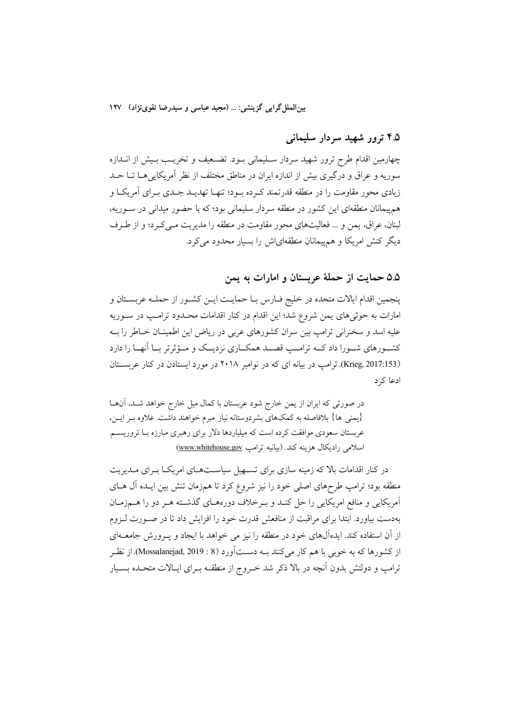بینالملل گرایی گزینشی: … (مجید عباسی و سیدرضا تقوینژاد) ۱۲۷

### ۴.۵ ترور شهید سردار سلیمانی

چهارمین اقدام طرح ترور شهید سردار سـلیمانی بـود. تضـعیف و تخریـب بـیش از انــدازه سوریه و عراق و درگیری بیش از اندازه ایران در مناطق مختلف از نظر آمریکایی هــا تــا حــد زیادی محور مقاومت را در منطقه قدرتمند که ده بود؛ تنهـا تهدیـد جـدی بـرای آمریکـا و هم پیمانان منطقهای این کشور در منطقه سردار سلیمانی بود؛ که با حضور میدانی در سوریه، لبنان، عراق، يمن و … فعاليتهاى محور مقاومت در منطقه را مديريت مـى كـرد؛ و از طـرف دیگر کنش امریکا و همهیمانان منطقهای ش را بسیار محدود می کرد.

### ۵.۵ حمایت از حملهٔ عربستان و امارات به یمن

پنجمین اقدام ایالات متحده در خلیج فـارس بـا حمایـت ایــن کشــور از حملــه عربســتان و امارات به حوثیهای یمن شروع شد؛ این اقدام در کنار اقدامات محـدود ترامـپ در ســوریه علیه اسد و سخنرانی ترامپ بین سران کشورهای عربی در ریاض این اطمینـان خــاطر را بــه کشـورهای شـورا داد کــه ترامــب قصــد همکــاری نزدیــک و مــؤثرتر بــا آنهــا را دارد (Krieg, 2017:153). ترامب در بیانه ای که در نوامبر ۲۰۱۸ در مورد ایستادن در کنار عربستان ادعا کر د

در صورتی که ایران از یمن خارج شود عربستان با کمال میل خارج خواهد شــد، آنهــا {يَمْنَى هَا} بلافاصله به كَمْكَهَّاي بشردوستانه نياز مبرم خواهند داشت. علاوه بـر ايـن، عربستان سعودی موافقت کرده است که میلیاردها دلار برای رهبری مبارزه بـا تروریســم اسلامی رادیکال هزینه کند. (بیانیه ترامپ www.whitehouse.gov)

در کنار اقدامات بالا که زمینه سازی برای تسـهیل سیاســتهـای امریکـا بــرای مــدیریت منطقه بود؛ ترامب طرحهای اصلی خود را نیز شروع کرد تا همزمان تنش بین ایـده آل هـای آمریکایی و منافع امریکایی را حل کنـد و بـرخلاف دورههـای گذشـته هـر دو را هـمزمـان بهدست بیاورد. ابتدا برای مراقبت از منافعش قدرت خود را افزایش داد تا در صـورت لـزوم از اّن استفاده کند. ایدهآل@ای خود در منطقه را نیز می خواهد با ایجاد و پـرورش جامعــهای از کشورها که به خوبی با هم کار میکنند بـه دســتآورد (8 : Mossalanejad, 2019). از نظـر ترامپ و دولتش بدون آنچه در بالا ذکر شد خـروج از منطقــه بــرای ایــالات متحــده بســیار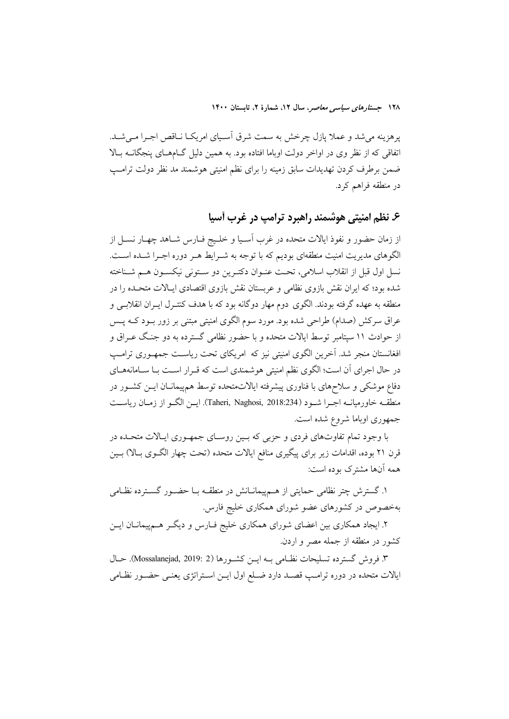پرهزینه میشد و عملا پازل چرخش به سمت شرق اسـیای امریکـا نـاقص اجـرا مـیشـد. اتفاقی که از نظر وی در اواخر دولت اوباما افتاده بود. به همین دلیل گـامهـای پنجگانــه بـالا ضمن برطرف کردن تهدیدات سابق زمینه را برای نظم امنیتی هوشمند مد نظر دولت ترامب در منطقه فراهم کرد.

### ۶. نظم امنیتی هوشمند راهبرد ترامپ در غرب أسیا

از زمان حضور و نفوذ ایالات متحده در غرب آسـیا و خلـیج فـارس شـاهد چهـار نســل از الگوهای مدیریت امنیت منطقهای بودیم که با توجه به شـرایط هـر دوره اجـرا شـده اسـت. نسل اول قبل از انقلاب اسلامی، تحت عنـوان دکتـرین دو سـتونی نیکسـون هـم شـناخته شده بود؛ که ایران نقش بازوی نظامی و عربستان نقش بازوی اقتصادی ایـالات متحـده را در منطقه به عهده گرفته بودند. الگوی دوم مهار دوگانه بود که با هدف کنتـرل ایــران انقلابــی و عراق سرکش (صدام) طراحی شده بود. مورد سوم الگوی امنیتی مبتنی بر زور بــود کــه پــس از حوادث ۱۱ سپتامبر توسط ایالات متحده و با حضور نظامی گسترده به دو جنگ عـراق و افغانستان منجر شد. آخرین الگوی امنیتی نیز که امریکای تحت ریاست جمهـوری ترامـپ در حال اجرای آن است؛ الگوی نظم امنیتی هوشمندی است که قـرار اسـت بــا ســامانههــای دفاع موشکی و سلاحهای با فناوری پیشرفته ایالاتمتحده توسط همپیمانـان ایــن کشــور در منطقــه خاورميانــه اجــرا شــود (Taheri, Naghosi, 2018:234). ايــن الگــو از زمــان رياســت جمهوري اوباما شروع شده است.

با وجود تمام تفاوتهای فردی و حزبی که بـین روسـای جمهـوری ایـالات متحـده در قرن ۲۱ بوده، اقدامات زیر برای پیگیری منافع ایالات متحده (تحت چهار الگـوی بـالا) بـین همه آنها مشترک بوده است:

۱. گسترش چتر نظامی حمایتی از هــمپیمانــانش در منطقــه بــا حضــور گســترده نظــامی بهخصوص در کشورهای عضو شورای همکاری خلیج فارس.

۲. ایجاد همکاری بین اعضای شورای همکاری خلیج فـارس و دیگـر هـمپیمانــان ایــن كشور در منطقه از جمله مصر و اردن.

۳. فروش گسترده تسلیحات نظـامی بــه ایــن كشــورها (2 :Mossalanejad, 2019). حــال ايالات متحده در دوره ترامـب قصـد دارد ضـلع اول ايـن اسـتراتژي يعنـي حضـور نظـامي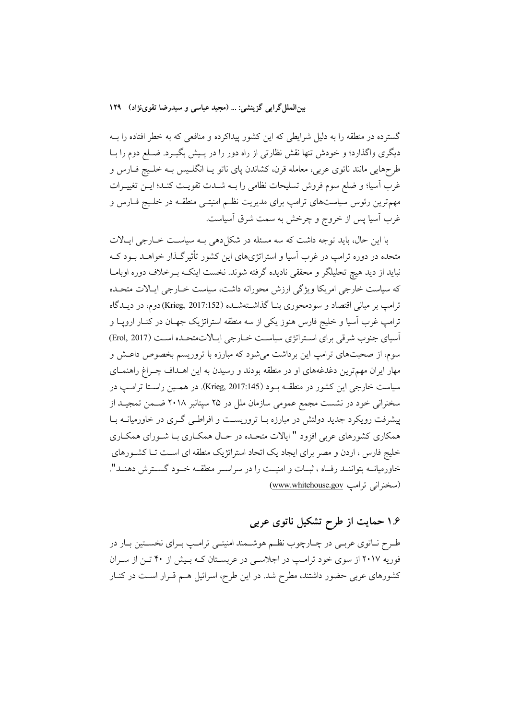بین الملل گرایی گزینشی: … (مجید عباسی و سیدرضا تقوینژاد) ۱۲۹

گسترده در منطقه را به دلیل شرایطی که این کشور پیداکرده و منافعی که به خطر افتاده را بــه دیگری واگذارد؛ و خودش تنها نقش نظارتی از راه دور را در پـیش بگیـرد. ضـلع دوم را بـا طرحهایی مانند ناتوی عربی، معامله قرن، کشاندن پای ناتو یـا انگلـیس بــه خلـیج فــارس و غرب آسیا؛ و ضلع سوم فروش تسلیحات نظامی را بـه شــدت تقویـت کنــد؛ ایــن تغییــرات مهمترین رئوس سیاستهای ترامپ برای مدیریت نظـم امنیتــی منطقــه در خلــیج فــارس و غرب آسیا پس از خروج و چرخش به سمت شرق آسیاست.

با این حال، باید توجه داشت که سه مسئله در شکا دهی بـه سیاسـت خــارجی ایــالات متحده در دوره ترامب در غرب آسیا و استراتژیهای این کشور تأثیرگذار خواهــد بــود کــه نبايد از ديد هيچ تحليلگر و محققي ناديده گرفته شوند. نخست اينکـه بـرخلاف دوره اوبامـا که سیاست خارجی امریکا ویژگی ارزش محورانه داشت، سیاست خــارجی ایــالات متحــده ترامپ بر مبانی اقتصاد و سودمحوری بنــا گذاشــتهشــده (Krieg, 2017:152)دوم، در دیــدگاه ترامب غرب آسيا و خليج فارس هنوز يكي از سه منطقه استراتژيک جهـان در كنــار ارويــا و آسیای جنوب شرقی برای استراتژی سیاست خبارجی ایالات متحده است (Erol, 2017) سوم، از صحبتهای ترامپ این برداشت می شود که مبارزه با تروریسم بخصوص داعـش و مهار ایران مهمترین دغدغههای او در منطقه بودند و رسیدن به این اهــداف چــراغ راهنمــای سیاست خارجی این کشور در منطقـه بـود (Krieg, 2017:145). در همـین راسـتا ترامـب در سخنرانی خود در نشست مجمع عمومی سازمان ملل در ۲۵ سپتانبر ۲۰۱۸ ضـمن تمجیــد از پیشرفت رویکرد جدید دولتش در مبارزه بـا تروریسـت و افراطـی گـری در خاورمیانــه بـا همکاری کشورهای عربی افزود " ایالات متحـده در حـال همکـاری بـا شـورای همکـاری خلیج فارس ، اردن و مصر برای ایجاد یک اتحاد استراتژیک منطقه ای است تـا کشـورهای خاورمیانــه بتواننــد رفــاه ، ثبــات و امنیــت را در سراســر منطقــه خــود گســترش دهنــد". (سخنرانی ترامب www.whitehouse.gov)

# ۱.۶ حمایت از طرح تشکیل ناتوی عربی

طـرح نــاتوي عربــي در چــارچوب نظــم هوشــمند امنيتــي ترامــب بــراي نخســتين بــار در فوریه ۲۰۱۷ از سوی خود ترامپ در اجلاسی در عربستان کـه بـیش از ۴۰ تـن از سـران کشورهای عربی حضور داشتند، مطرح شد. در این طرح، اسرائیل هـم قـرار اسـت در کنـار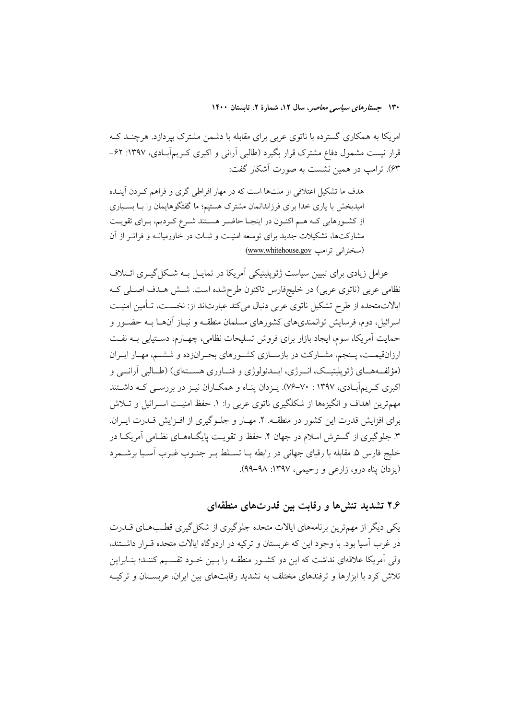امریکا به همکاری گسترده با ناتوی عربی برای مقابله با دشمن مشترک بپردازد. هرچنــد کــه قرار نیست مشمول دفاع مشترک قرار بگیرد (طالبی آرانی و اکبری کـریمآبـادی، ۱۳۹۷: ۶۲– ۶۳). ترامب در همین نشست به صورت آشکار گفت:

هدف ما تشکیل اعتلافی از ملتها است که در مهار افراطی گری و فراهم کـردن آینـده امیدبخش با یاری خدا برای فرزاندانمان مشترک هستیم؛ ما گفتگوهایمان را بــا بســیاری از کشورهایی کـه هـم اکنـون در اینجـا حاضـر هسـتند شـرع کـردیم، بـرای تقویـت مشارکتها، تشکیلات جدید برای توسعه امنیت و ثبـات در خاورمیانـه و فراتـر از آن (سخنرانی ترامپ www.whitehouse.gov)

عوامل زیادی برای تبیین سیاست ژئوپلیتیکی اَمریکا در تمایــل بــه شــکل گیــری ائــتلاف نظامی عربی (ناتوی عربی) در خلیجٖفارس تاکنون طرحشده است. شــش هــدف اصــلی کــه ایالاتمتحده از طرح تشکیل ناتوی عربی دنبال میکند عبارتاند از: نخسـت، تـأمین امنیـت اسرائیل، دوم، فرسایش توانمندیهای کشورهای مسلمان منطقـه و نیـاز آنهـا بـه حضـور و حمایت آمریکا، سوم، ایجاد بازار برای فروش تسلیحات نظامی، چهـارم، دسـتیابی بــه نفــت ارزانقیمـت، پـنجم، مشـارکت در بازسـازی کشـورهای بحـرانزده و ششـم، مهـار ایـران (مؤلفهههای ژئوپلیتیک، انسرژی، ایسدئولوژی و فنساوری هسستهای) (طـالبی آرانسی و اکبری کے بہآبادی، ۱۳۹۷ : ۷۰–۷۶). پیزدان پنیاه و همکیاران نیبز در بررستی کیه داشتند مهمترین اهداف و انگیزهها از شکلگیری ناتوی عربی را: ۱. حفظ امنیـت اســرائیل و تــلاش برای افزایش قدرت این کشور در منطقـه. ۲. مهـار و جلـوگیری از افـزایش قـدرت ایـران. ۳. جلوگیری از گسترش اسلام در جهان ۴. حفظ و تقویت پایگــاههــای نظــامی آمریکــا در خليج فارس ۵. مقابله با رقباي جهاني در رابطه بــا تســلط بــر جنــوب غــرب آســيا برشـــمرد (يزدان يناه درو، زارعي و رحيمي، ١٣٩٧: ٩٩-٩٩).

### ۲.۶ تشدید تنشها و رقابت بین قدرتهای منطقهای

یکی دیگر از مهمترین برنامههای ایالات متحده جلوگیری از شکل گیری قطبهای قــدرت در غرب آسیا بود. با وجود این که عربستان و ترکیه در اردوگاه ایالات متحده قـرار داشـتند، ولی آمریکا علاقهای نداشت که این دو کشور منطقـه را بـین خـود تقسـیم کننـد؛ بنـابراین تلاش کرد با ابزارها و ترفندهای مختلف به تشدید رقابتهای بین ایران، عربستان و ترکیـه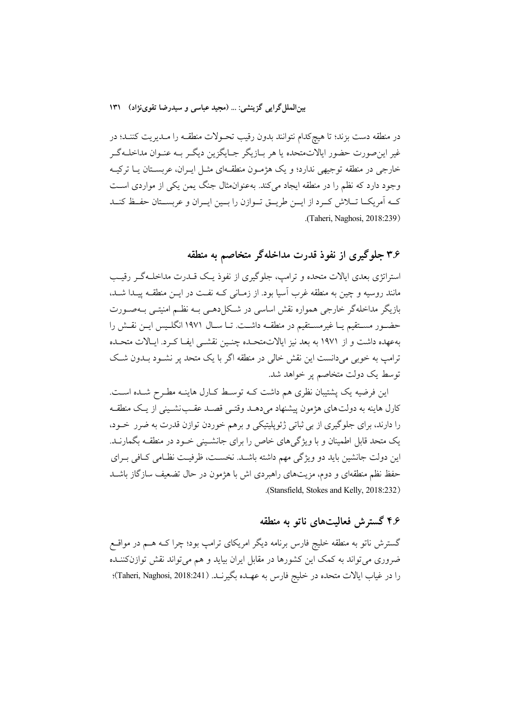در منطقه دست بزند؛ تا هیچکدام نتوانند بدون رقیب تحـولات منطقــه را مــدیریت کننــد؛ در غیر این صورت حضور ایالاتمتحده یا هر بـازیگر جـایگزین دیگـر بـه عنـوان مداخلـهگـر خارجی در منطقه توجیهی ندارد؛ و یک هژمـون منطقـهای مثـل ایـران، عربسـتان یــا ترکیــه وجود دارد که نظم را در منطقه ایجاد می کند. بهعنوان مثال جنگ یمن یکی از مواردی است کـه آمریکــا تـــلاش کــرد از ایـــن طریــق تــوازن را بــین ایــران و عربســتان حفــظ کنــد .(Taheri, Naghosi, 2018:239)

## ۳.۶ جلوگیری از نفوذ قدرت مداخلهگر متخاصم به منطقه

استراتژی بعدی ایالات متحده و ترامب، جلوگیری از نفوذ یـک قــدرت مداخلــهگــر رقیــب مانند روسیه و چین به منطقه غرب آسیا بود. از زمـانی کـه نفـت در ایــن منطقــه پیــدا شــد، بازیگر مداخلهگر خارجی همواره نقش اساسی در شکل دهـی بـه نظـم امنیتـی بـهصـورت حضـور مســتقيم يــا غيرمســتقيم در منطقــه داشــت. تــا ســال ١٩٧١ انگلــيس ايــن نقــش را بهعهده داشت و از ۱۹۷۱ به بعد نیز ایالاتمتحـده چنـین نقشـی ایفـا کـرد. ایـالات متحـده ترامپ به خوبی میدانست این نقش خالی در منطقه اگر با یک متحد بر نشـود بــدون شـک توسط یک دولت متخاصم پر خواهد شد.

این فرضیه یک پشتیبان نظری هم داشت کـه توسـط کـارل هاینـه مطـرح شـده اسـت. کارل هاینه به دولتهای هژمون پیشنهاد میدهـد وقتـی قصـد عقـبنشـینی از یـک منطقـه را دارند، برای جلوگیری از بی ثباتی ژئوپلیتیکی و برهم خوردن توازن قدرت به ضرر خـود، یک متحد قابل اطمینان و با ویژگیهای خاص را برای جانشـینی خـود در منطقـه بگمارنــد. این دولت جانشین باید دو ویژگی مهم داشته باشـد. نخسـت، ظرفیـت نظـامی كـافی بـرای حفظ نظم منطقهای و دوم، مزیتهای راهبردی اش با هژمون در حال تضعیف سازگاز باشــد .(Stansfield, Stokes and Kelly, 2018:232)

## ۴.۶ گسترش فعالیتهای ناتو به منطقه

گسترش ناتو به منطقه خلیج فارس برنامه دیگر امریکای ترامپ بود؛ چرا کــه هــم در مواقــع ضروری می تواند به کمک این کشورها در مقابل ایران بیاید و هم می تواند نقش توازنکننـده را در غياب ايالات متحده در خليج فارس به عهـده بگيرنــد. (Taheri, Naghosi, 2018:241)؛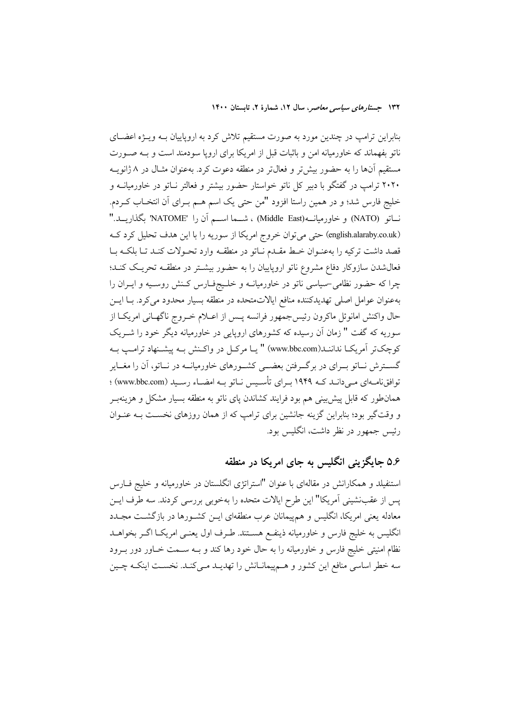بنابراین ترامپ در چندین مورد به صورت مستقیم تلاش کرد به اروپاییان بــه ویــژه اعضــای ناتو بفهماند که خاورمیانه امن و باثبات قبل از امریکا برای اروپا سودمند است و بـه صـورت مستقیم آنها را به حضور بیشتر و فعالتر در منطقه دعوت کرد. بهعنوان مثـال در ۸ ژانویــه ۲۰۲۰ ترامپ در گفتگو با دبیر کل ناتو خواستار حضور بیشتر و فعالتر نـاتو در خاورمیانــه و خليج فارس شد؛ و در همين راستا افزود "من حتى يک اسم هــم بــراى أن انتخــاب كــردم. نساتو (NATO) و خاورميانـــه(Middle East) ، شـــما اســـم أن را 'NATOME بگذاريـــد." (english.alaraby.co.uk) حتى مى توان خروج امريكا از سوريه را با اين هدف تحليل كرد كه قصد داشت ترکیه را بهعنـوان خـط مقـدم نـاتو در منطقـه وارد تحـولات کنـد تـا بلکـه بـا فعالشدن سازوکار دفاع مشروع ناتو اروپاییان را به حضور بیشتر در منطقـه تحریـک کنـد؛ چرا که حضور نظامی-سیاسی ناتو در خاورمیانــه و خلــیجفــارس کــنش روســیه و ایــران را بهعنوان عوامل اصلي تهديدكننده منافع ايالاتمتحده در منطقه بسيار محدود مىكرد. بـا ايــن حال واکنش امانوئل ماکرون رئیس جمهور فرانسه پـس از اعــلام خــروج ناگهــانی امریکــا از سوریه که گفت " زمان آن رسیده که کشورهای اروپایی در خاورمیانه دیگر خود را شـریک كوچكتر آمريكـا نداننـد(www.bbc.com) " يـا مركـل در واكـنش بـه پيشـنهاد ترامـب بـه گســترش نــاتو بــرای در برگــرفتن بعضـــی کشــورهای خاورمیانــه در نــاتو، آن را مغــایر توافق نامـهای مـی دانـد کـه ۱۹۴۹ بـرای تأسـیس نـاتو بـه امضـاء رسـید (www.bbc.com) ؛ همانطور که قابل پیش بینی هم بود فرایند کشاندن یای ناتو به منطقه بسیار مشکل و هزینهبر و وقتگیر بود؛ بنابراین گزینه جانشین برای ترامپ که از همان روزهای نخست بـه عنـوان رئیس جمهور در نظر داشت، انگلیس بود.

## ۵.۶ جایگزینی انگلیس به جای امریکا در منطقه

استنفیلد و همکارانش در مقالهای با عنوان "استراتژی انگلستان در خاورمیانه و خلیج فـارس پس از عقبنشینی آمریکا" این طرح ایالات متحده را بهخوبی بررسی کردند. سه طرف ایـن معادله یعنی امریکا، انگلیس و همپیمانان عرب منطقهای ایــن کشــورها در بازگشـت مجــدد انگلیس به خلیج فارس و خاورمیانه ذینفـع هســتند. طـرف اول یعنـی امریکــا اگــر بخواهــد نظام امنیتی خلیج فارس و خاورمیانه را به حال خود رها کند و بـه سـمت خـاور دور بـرود سه خطر اساسی منافع این کشور و هـمپیمانـانش را تهدیـد مـیکنـد. نخسـت اینکـه چـین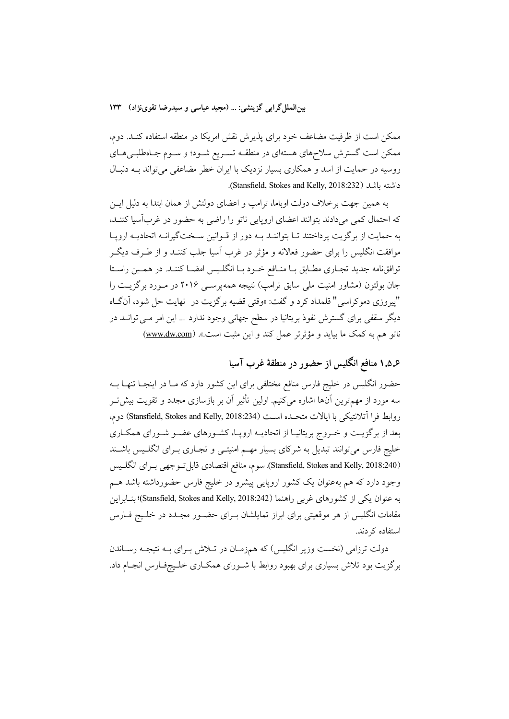بین الملل گرایی گزینشی: … (مجید عباسی و سیدرضا تقوینژاد) ۱۳۳

ممکن است از ظرفیت مضاعف خود برای پذیرش نقش امریکا در منطقه استفاده کنـد. دوم، ممکن است گسترش سلاحهای هستهای در منطقـه تسـریع شـود؛ و سـوم جـاهطلبـیهـای روسیه در حمایت از اسد و همکاری بسیار نزدیک با ایران خطر مضاعفی میتواند بـه دنبـال داشته باشد (Stansfield, Stokes and Kelly, 2018:232).

به همین جهت برخلاف دولت اوباما، ترامپ و اعضای دولتش از همان ابتدا به دلیل ایــن که احتمال کمی میدادند بتوانند اعضای اروپایی ناتو را راضی به حضور در غربآسیا کننـد، به حمایت از برگزیت پرداختند تـا بتواننـد بــه دور از قــوانین ســختگیرانــه اتحادیــه ارویــا موافقت انگلیس را برای حضور فعالانه و مؤثر در غرب آسیا جلب کننــد و از طــرف دیگــر توافقنامه جدید تجـاری مطـابق بـا منـافع خـود بـا انگلـیس امضـا کننـد. در همـین راسـتا جان بولتون (مشاور امنیت ملی سابق ترامپ) نتیجه همه پرسبی ۲۰۱۶ در مـورد برگزیــت را "پیروزی دموکراسی" قلمداد کرد و گفت: «وقتی قضیه برگزیت در نهایت حل شود، آنگاه دیگر سقفی برای گسترش نفوذ بریتانیا در سطح جهانی وجود ندارد … این امر مــی توانــد در ناتو هم به کمک ما بیاید و مؤثرتر عمل کند و این مثبت است.». (<u>www.dw.com</u>)

۵.۵. منافع انگلیس از حضور در منطقهٔ غرب آسیا

حضور انگلیس در خلیج فارس منافع مختلفی برای این کشور دارد که مـا در اینجـا تنهـا بــه سه مورد از مهمترین آنها اشاره میکنیم. اولین تأثیر آن بر بازسازی مجدد و تقویت بیش تـر روابط فرا آتلانتيكي با ايالات متحـده اسـت (Stansfield, Stokes and Kelly, 2018:234) دوم، بعد از برگزیـت و خـروج بریتانیـا از اتحادیــه اروپــا، کشـورهای عضـو شـورای همکـاری خلیج فارس میتوانند تبدیل به شرکای بسیار مهــم امنیتــی و تجــاری بــرای انگلــیس باشــند (Stansfield, Stokes and Kelly, 2018:240). سوم، منافع اقتصادي قابل توجهي بـراي انگلـيس وجود دارد که هم بهعنوان یک کشور اروپایی پیشرو در خلیج فارس حضورداشته باشد هــم به عنوان يكي از كشورهاي غربي راهنما (Stansfield, Stokes and Kelly, 2018:242)؛ بنـابراين مقامات انگلیس از هر موقعیتی برای ابراز تمایلشان بـرای حضـور مجـدد در خلـیج فــارس استفاده کردند.

دولت ترزامی (نخست وزیر انگلیس) که همزمـان در تـلاش بـرای بــه نتیجــه رســاندن برگزیت بود تلاش بسیاری برای بهبود روابط با شـورای همکـاری خلـیجفـارس انجـام داد.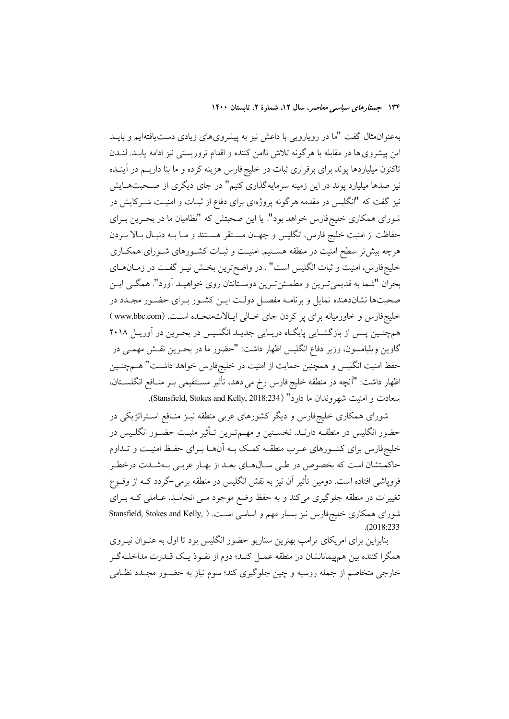بهعنوانمثال گفت "ما در رویارویی با داعش نیز به پیشرویهای زیادی دستیافتهایم و بایــد اين پيشروي ها در مقابله با هرگونه تلاش ناامن كننده و اقدام تروريستي نيز ادامه يابـد. لنـدن تاکنون میلیاردها پوند برای برقراری ثبات در خلیجفارس هزینه کرده و ما بنا داریــم در آینــده نیز صدها میلیارد پوند در این زمینه سرمایه گذاری کنیم" در جای دیگری از صـحبتهــایش نیز گفت که "انگلیس در مقدمه هرگونه پروژهای برای دفاع از ثبـات و امنیــت شــرکایش در شورای همکاری خلیجفارس خواهد بود". یا این صحبتش که "نظامیان ما در بحـرین بـرای حفاظت از امنیت خلیج فارس، انگلیس و جهـان مسـتقر هسـتند و مـا بــه دنبـال بـالا بــردن هرچه بیشتر سطح امنیت در منطقه هسـتیم. امنیـت و ثبـات کشـورهای شـورای همکـاری خليجفارس، امنيت و ثبات انگليس است" . در واضح ترين بخـش نيـز گفـت در زمـانهـاي بحران "شما به قدیمیترین و مطمـئنترین دوسـتانتان روی خواهیـد آورد". همگـی ایـن صحبتها نشاندهنده تمایل و برنامـه مفصـل دولـت ایـن کشـور بـرای حضـور مجـدد در خليجفارس و خاورميانه براي پر كردن جاي خــالي ايـالاتمتحـده اســت. (www.bbc.com) همچنـین پـس از بازگشـایی پایگـاه دریـایی جدیـد انگلـیس در بحـرین در آوریـل ۲۰۱۸ گاوين ويليامسون، وزير دفاع انگليس اظهار داشت: "حضور ما در بحـرين نقـش مهمـي در حفظ امنیت انگلیس و همچنین حمایت از امنیت در خلیجفارس خواهد داشــت" هــمچنــین اظهار داشت: "آنچه در منطقه خلیج فارس رخ می دهد، تأثیر مسـتقیمی بـر منـافع انگلســتان، سعادت و امنيت شهروندان ما دارد" (Stansfield, Stokes and Kelly, 2018:234).

شورای همکاری خلیجفارس و دیگر کشورهای عربی منطقه نیـز منـافع اسـتراتژیکی در حضور انگلیس در منطقــه دارنــد. نخســتین و مهــمتــرین تــأثیر مثبــت حضــور انگلــیس در خلیجفارس برای کشـورهای عـرب منطقـه کمـک بـه آنهـا بـرای حفـظ امنیـت و تـداوم حاکمیتشان است که بخصوص در طـی سـالهـای بعـد از بهـار عربـی بـهشـدت درخطـر فروپاشی افتاده است. دومین تأثیر آن نیز به نقش انگلیس در منطقه برمی–گردد کـه از وقــوع تغییرات در منطقه جلوگیری میکند و به حفظ وضع موجود مــی انجامــد، عــاملی کــه بــرای شورای همکاری خلیجفارس نیز بسیار مهم و اساسی است. ( Stansfield, Stokes and Kelly,  $. (2018:233)$ 

بنابراین برای امریکای ترامپ بهترین سناریو حضور انگلیس بود تا اول به عنـوان نیــروی همگرا کننده بین همهیمانانشان در منطقه عمـل کنـد؛ دوم از نفـوذ یـک قــدرت مداخلــهگــر خارجي متخاصم از جمله روسيه و چين جلوگيري كند؛ سوم نياز به حضـور مجـدد نظـامي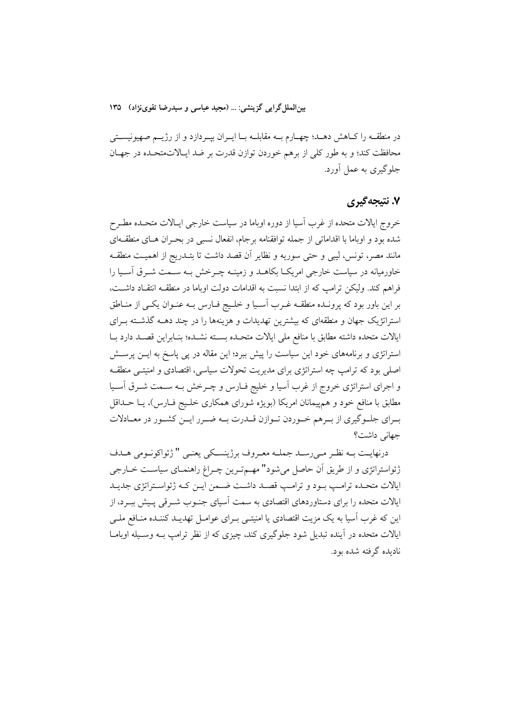بینالملل گرایی گزینشی: … (مجید عباسی و سیدرضا تقوینژاد) ۱۳۵

در منطقــه را كــاهش دهــد؛ چهــارم بــه مقابلــه بــا ايــران بيــردازد و از رژيـــم صهيونيســتي محافظت کند؛ و به طور کلی از برهم خوردن توازن قدرت بر ضد ایـالاتمتحـده در جهـان جلوگیری به عمل آورد.

### ۷. نتىجەگىرى

خروج ایالات متحده از غرب آسیا از دوره اوباما در سیاست خارجی ایـالات متحـده مطـرح شده بود و اوباما با اقداماتی از جمله توافقنامه برجام، انفعال نسبی در بحـران هـای منطقـهای مانند مصر، تونس، ليبي و حتى سوريه و نظاير آن قصد داشت تا بتــدريج از اهميـت منطقــه خاورمیانه در سیاست خارجی امریکـا بکاهــد و زمینــه چــرخش بــه ســمت شــرق اَســیا را فراهم كند. وليكن ترامب كه از ابتدا نسبت به اقدامات دولت اوباما در منطقــه انتقــاد داشــت، بر این باور بود که پرونـده منطقــه غــرب آسـيا و خلــيج فــارس بــه عنــوان يکــي از منــاطق استراتژیک جهان و منطقهای که بیشترین تهدیدات و هزینهها را در چند دهــه گذشــته بــرای ايالات متحده داشته مطابق با منافع ملى ايالات متحـده بسـته نشـده؛ بنـابراين قصـد دارد بـا استراتژی و برنامههای خود این سیاست را پیش ببرد؛ این مقاله در پی پاسخ به ایــن پرســش اصلی بود که ترامپ چه استراتژی برای مدیریت تحولات سیاسی، اقتصادی و امنیتـی منطقـه و اجرای استراتژی خروج از غرب آسیا و خلیج فــارس و چــرخش بــه ســمت شــرق آســیا مطابق با منافع خود و همهیمانان امریکا (بویژه شورای همکاری خلـیج فـارس)، یـا حــداقل بـرای جلـوگیری از بـرهم خـوردن تـوازن قــدرت بــه ضــرر ایــن کشــور در معــادلات جهانی داشت؟

درنهايـت بــه نظـر مــىرســد جملــه معـروف برژينسـكي يعنــى " ژئواكونــومى هــدف ژئواستراتژی و از طریق آن حاصل میشود" مهـمتـرین چـراغ راهنمـای سیاسـت خــارجی ایالات متحـده ترامـب بـود و ترامـب قصـد داشـت ضـمن ایـن کـه ژئواسـتراتژي جديـد ایالات متحده را برای دستاوردهای اقتصادی به سمت آسیای جنـوب شـرقی پـیش ببـرد، از این که غرب اّسیا به یک مزیت اقتصادی یا امنیتـی بـرای عوامـل تهدیـد کننـده منــافع ملــی ایالات متحده در آینده تبدیل شود جلوگیری کند، چیزی که از نظر ترامپ بـه وسـیله اوبامــا نادېده گرفته شده بود.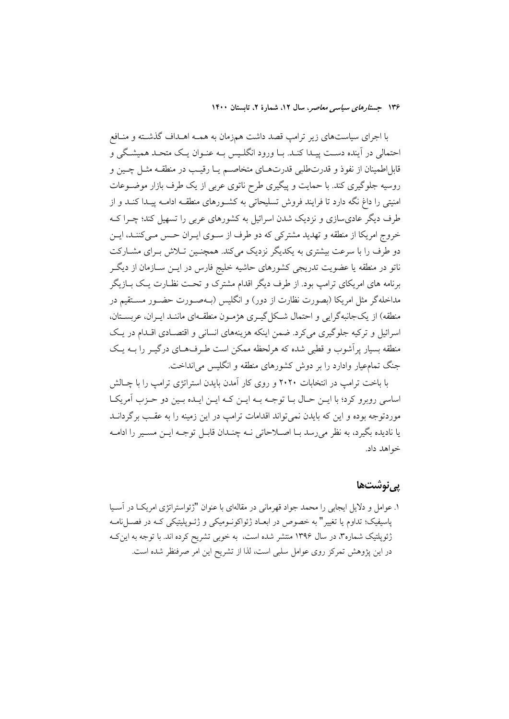با اجرای سیاستهای زیر ترامپ قصد داشت همزمان به همــه اهــداف گذشــته و منــافع احتمالي در اَينده دسـت پيـدا كنـد. بـا ورود انگلـيس بـه عنـوان يـك متحـد هميشـگي و قابل|طمينان از نفوذ و قدرتطلبي قدرتهـاي متخاصـم يـا رقيـب در منطقــه مثــل چــين و روسیه جلوگیری کند. با حمایت و پیگیری طرح ناتوی عربی از یک طرف بازار موضـوعات امنیتی را داغ نگه دارد تا فرایند فروش تسلیحاتی به کشـورهای منطقـه ادامـه پیـدا کنـد و از طرف دیگر عادی سازی و نزدیک شدن اسرائیل به کشورهای عربی را تسهیل کند؛ چــرا کــه خروج امریکا از منطقه و تهدید مشترکی که دو طرف از سـوی ایـران حـس مـیکننـد، ایـن دو طرف را با سرعت بیشتری به یکدیگر نزدیک میکند. همچنـین تـلاش بـرای مشــارکت ناتو در منطقه یا عضویت تدریجی کشورهای حاشیه خلیج فارس در ایــن ســازمان از دیگــر برنامه های امریکای ترامب بود. از طرف دیگر اقدام مشترک و تحت نظـارت یـک بــازیگر مداخلهگر مثل امریکا (بصورت نظارت از دور) و انگلیس (بــهصــورت حضــور مســتقیم در منطقه) از یک جانبه گرایی و احتمال شبکل گیری هژمیون منطقهای ماننید ایران، عربستان، اسرائیل و ترکیه جلوگیری می کرد. ضمن اینکه هزینههای انسانی و اقتصـادی اقـدام در یـک منطقه بسیار پر آشوب و قطبی شده که هرلحظه ممکن است طـرفهـای درگیـر را بــه یـک جنگ تمامعیار وادارد را بر دوش کشورهای منطقه و انگلیس می انداخت.

با باخت ترامب در انتخابات ۲۰۲۰ و روی کار آمدن بایدن استراتژی ترامب را با چـالش اساسي رويوو كرد؛ با ايــن حــال بــا توجــه بــه ايــن كــه ايــن ايــده بــين دو حــزب آمريكــا موردتوجه بوده و این که بایدن نمی تواند اقدامات ترامب در این زمینه را به عقـب برگردانــد يا ناديده بگيرد، به نظر مي رسد بـا اصــلاحاتي نــه چنــدان قابــل توجــه ايــن مســير را ادامــه خواهد داد.

### پي نوشت ها

۱. عوامل و دلایل ایجابی را محمد جواد قهرمانی در مقالهای با عنوان "ژئواستراتژی امریکــا در آســیا پاسیفیک؛ تداوم یا تغییر" به خصوص در ابعـاد ژئواکونــومیکی و ژئــوپلیتیکی کــه در فصــل نامــه ژئوپلتیک شماره۳، در سال ۱۳۹۶ منتشر شده است، به خوبی تشریح کرده اند. با توجه به این ک در این پژوهش تمرکز روی عوامل سلبی است، لذا از تشریح این امر صرفنظر شده است.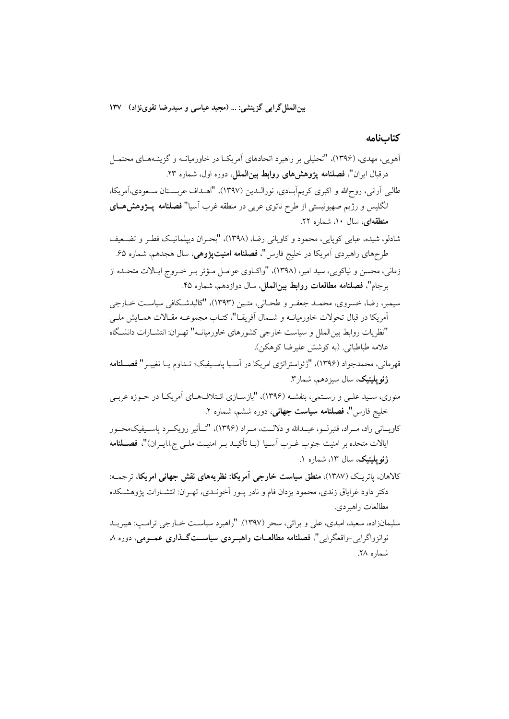بین|لملل گرایی گزینشی: … (مجید عباسی و سیدرضا تقوینژاد) ۱۳۷

كتابنامه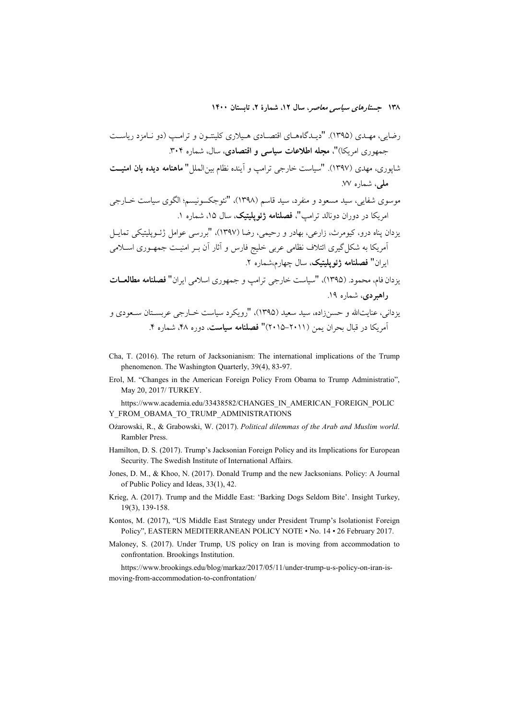- Cha, T. (2016). The return of Jacksonianism: The international implications of the Trump phenomenon. The Washington Quarterly, 39(4), 83-97.
- Erol, M. "Changes in the American Foreign Policy From Obama to Trump Administratio", May 20, 2017/ TURKEY.

https://www.academia.edu/33438582/CHANGES\_IN\_AMERICAN\_FOREIGN\_POLIC Y FROM OBAMA TO TRUMP ADMINISTRATIONS

- Ożarowski, R., & Grabowski, W. (2017). Political dilemmas of the Arab and Muslim world. Rambler Press.
- Hamilton, D. S. (2017). Trump's Jacksonian Foreign Policy and its Implications for European Security. The Swedish Institute of International Affairs.
- Jones, D. M., & Khoo, N. (2017). Donald Trump and the new Jacksonians. Policy: A Journal of Public Policy and Ideas, 33(1), 42.
- Krieg, A. (2017). Trump and the Middle East: 'Barking Dogs Seldom Bite'. Insight Turkey, 19(3), 139-158.
- Kontos, M. (2017), "US Middle East Strategy under President Trump's Isolationist Foreign Policy", EASTERN MEDITERRANEAN POLICY NOTE . No. 14 . 26 February 2017.
- Maloney, S. (2017). Under Trump, US policy on Iran is moving from accommodation to confrontation. Brookings Institution.

https://www.brookings.edu/blog/markaz/2017/05/11/under-trump-u-s-policy-on-iran-ismoving-from-accommodation-to-confrontation/